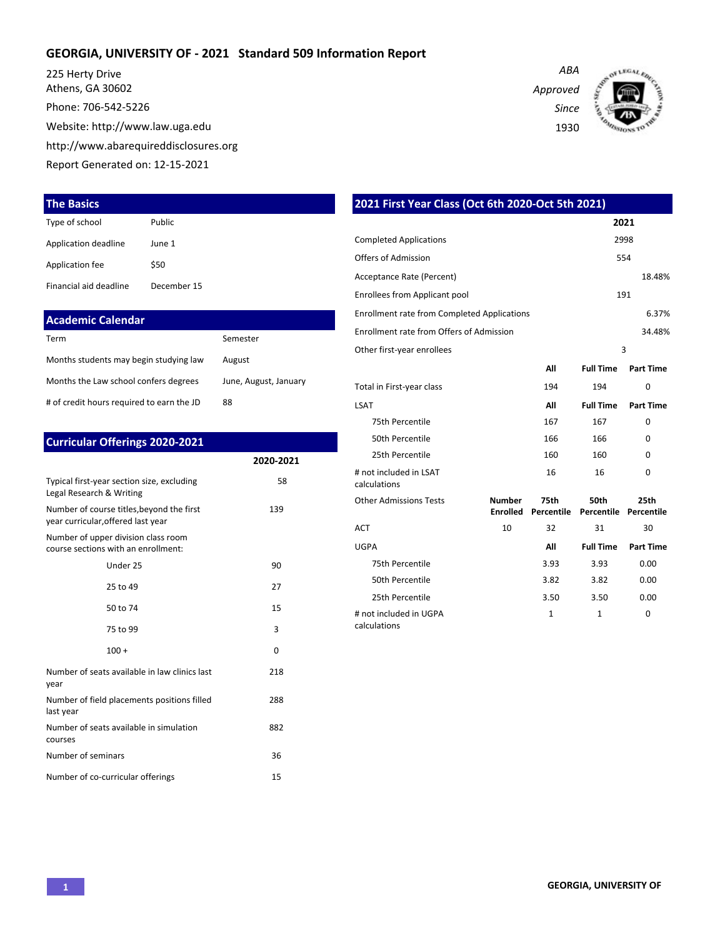### **GEORGIA, UNIVERSITY OF - 2021 Standard 509 Information Report**

225 Herty Drive Athens, GA 30602 Phone: 706-542-5226 Website: http://www.law.uga.edu http://www.abarequireddisclosures.org Report Generated on: 12-15-2021

### **The Basics**

| Type of school         | Public      |
|------------------------|-------------|
| Application deadline   | June 1      |
| Application fee        | \$50        |
| Financial aid deadline | December 15 |

| Academic Calendar                         |                       |
|-------------------------------------------|-----------------------|
| Term                                      | Semester              |
| Months students may begin studying law    | August                |
| Months the Law school confers degrees     | June, August, January |
| # of credit hours required to earn the JD | 88                    |

| <b>Curricular Offerings 2020-2021</b>                                           |           |
|---------------------------------------------------------------------------------|-----------|
|                                                                                 | 2020-2021 |
| Typical first-year section size, excluding<br>Legal Research & Writing          | 58        |
| Number of course titles, beyond the first<br>year curricular, offered last year | 139       |
| Number of upper division class room<br>course sections with an enrollment:      |           |
| Under 25                                                                        | 90        |
| 25 to 49                                                                        | 27        |
| 50 to 74                                                                        | 15        |
| 75 to 99                                                                        | 3         |
| $100 +$                                                                         | $\Omega$  |
| Number of seats available in law clinics last<br>year                           | 218       |
| Number of field placements positions filled<br>last year                        | 288       |
| Number of seats available in simulation<br>courses                              | 882       |
| Number of seminars                                                              | 36        |
| Number of co-curricular offerings                                               | 15        |

| 2021 First Year Class (Oct 6th 2020-Oct 5th 2021)  |                           |                    |                    |                    |
|----------------------------------------------------|---------------------------|--------------------|--------------------|--------------------|
|                                                    |                           |                    |                    | 2021               |
| <b>Completed Applications</b>                      |                           |                    |                    | 2998               |
| Offers of Admission                                |                           |                    |                    | 554                |
| Acceptance Rate (Percent)                          |                           |                    |                    | 18.48%             |
| <b>Enrollees from Applicant pool</b>               |                           |                    |                    | 191                |
| <b>Enrollment rate from Completed Applications</b> |                           |                    |                    | 6.37%              |
| Enrollment rate from Offers of Admission           |                           |                    |                    | 34.48%             |
| Other first-year enrollees                         |                           |                    |                    | 3                  |
|                                                    |                           | All                | <b>Full Time</b>   | Part Time          |
| Total in First-year class                          |                           | 194                | 194                | 0                  |
| <b>LSAT</b>                                        |                           | All                | <b>Full Time</b>   | <b>Part Time</b>   |
| 75th Percentile                                    |                           | 167                | 167                | $\Omega$           |
| 50th Percentile                                    |                           | 166                | 166                | $\Omega$           |
| 25th Percentile                                    |                           | 160                | 160                | 0                  |
| # not included in LSAT<br>calculations             |                           | 16                 | 16                 | 0                  |
| <b>Other Admissions Tests</b>                      | Number<br><b>Enrolled</b> | 75th<br>Percentile | 50th<br>Percentile | 25th<br>Percentile |
| <b>ACT</b>                                         | 10                        | 32                 | 31                 | 30                 |
| <b>UGPA</b>                                        |                           | All                | <b>Full Time</b>   | <b>Part Time</b>   |
| 75th Percentile                                    |                           | 3.93               | 3.93               | 0.00               |
| 50th Percentile                                    |                           | 3.82               | 3.82               | 0.00               |
| 25th Percentile                                    |                           | 3.50               | 3.50               | 0.00               |
| # not included in UGPA<br>calculations             |                           | 1                  | 1                  | $\Omega$           |

*Approved Since*

*ABA*

1930

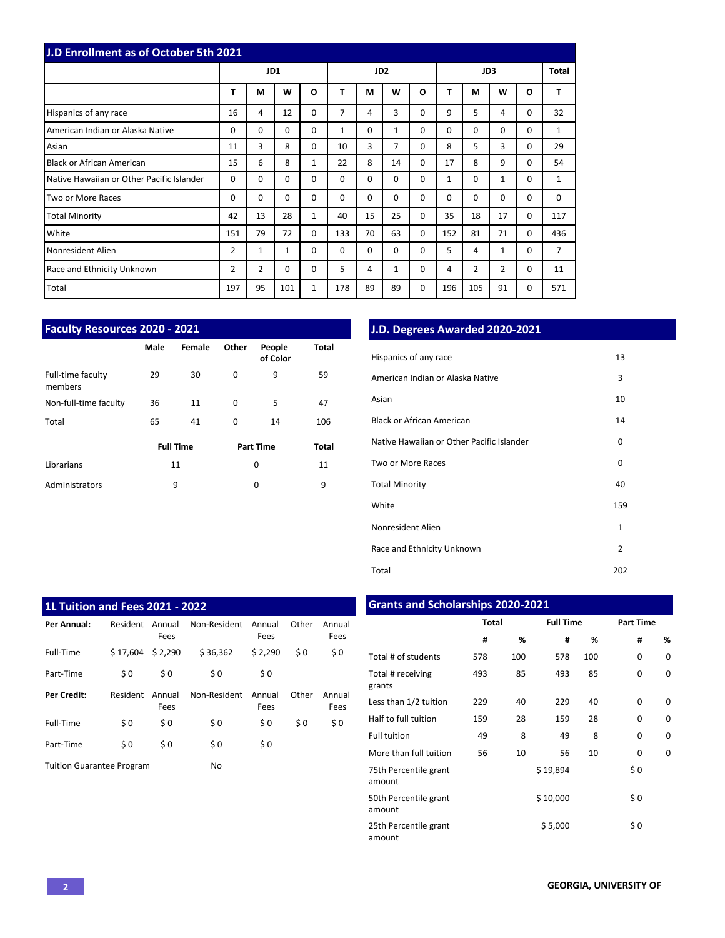| J.D Enrollment as of October 5th 2021     |     |          |              |              |          |                 |                |          |              |                |             |          |          |
|-------------------------------------------|-----|----------|--------------|--------------|----------|-----------------|----------------|----------|--------------|----------------|-------------|----------|----------|
|                                           |     | JD1      |              |              |          | JD <sub>2</sub> |                |          | JD3          |                |             |          | Total    |
|                                           | T   | M        | W            | $\mathbf{o}$ | T        | M               | W              | O        | т            | М              | W           | O        | T        |
| Hispanics of any race                     | 16  | 4        | 12           | $\Omega$     | 7        | 4               | 3              | 0        | 9            | 5              | 4           | 0        | 32       |
| American Indian or Alaska Native          | 0   | 0        | 0            | 0            | 1        | $\Omega$        | $\mathbf{1}$   | 0        | $\Omega$     | $\Omega$       | $\mathbf 0$ | 0        | 1        |
| Asian                                     | 11  | 3        | 8            | $\Omega$     | 10       | 3               | $\overline{7}$ | 0        | 8            | 5              | 3           | 0        | 29       |
| <b>Black or African American</b>          | 15  | 6        | 8            | $\mathbf{1}$ | 22       | 8               | 14             | 0        | 17           | 8              | 9           | $\Omega$ | 54       |
| Native Hawaiian or Other Pacific Islander | 0   | 0        | $\Omega$     | $\Omega$     | $\Omega$ | $\Omega$        | $\Omega$       | 0        | $\mathbf{1}$ | $\Omega$       | 1           | 0        | 1        |
| Two or More Races                         | 0   | $\Omega$ | $\Omega$     | $\Omega$     | $\Omega$ | $\Omega$        | $\Omega$       | 0        | $\Omega$     | $\Omega$       | $\Omega$    | 0        | $\Omega$ |
| <b>Total Minority</b>                     | 42  | 13       | 28           | $\mathbf{1}$ | 40       | 15              | 25             | 0        | 35           | 18             | 17          | $\Omega$ | 117      |
| White                                     | 151 | 79       | 72           | $\Omega$     | 133      | 70              | 63             | 0        | 152          | 81             | 71          | $\Omega$ | 436      |
| Nonresident Alien                         | 2   | 1        | $\mathbf{1}$ | $\Omega$     | $\Omega$ | $\Omega$        | $\Omega$       | $\Omega$ | 5            | 4              | 1           | $\Omega$ | 7        |
| Race and Ethnicity Unknown                | 2   | 2        | 0            | $\Omega$     | 5        | 4               | $\mathbf{1}$   | 0        | 4            | $\overline{2}$ | 2           | 0        | 11       |
| Total                                     | 197 | 95       | 101          | 1            | 178      | 89              | 89             | 0        | 196          | 105            | 91          | 0        | 571      |

| <b>Faculty Resources 2020 - 2021</b> |      |                  |       |                    |              |  |  |  |  |  |  |  |
|--------------------------------------|------|------------------|-------|--------------------|--------------|--|--|--|--|--|--|--|
|                                      | Male | Female           | Other | People<br>of Color | Total        |  |  |  |  |  |  |  |
| Full-time faculty<br>members         | 29   | 30               | 0     | 9                  | 59           |  |  |  |  |  |  |  |
| Non-full-time faculty                | 36   | 11               | 0     | 5                  | 47           |  |  |  |  |  |  |  |
| Total                                | 65   | 41               | 0     | 14                 | 106          |  |  |  |  |  |  |  |
|                                      |      | <b>Full Time</b> |       | <b>Part Time</b>   | <b>Total</b> |  |  |  |  |  |  |  |
| Librarians                           |      | 11               |       | 0                  | 11           |  |  |  |  |  |  |  |
| Administrators                       |      | 9                |       | 0                  | 9            |  |  |  |  |  |  |  |

# **J.D. Degrees Awarded 2020-2021**

| Hispanics of any race                     | 13             |
|-------------------------------------------|----------------|
| American Indian or Alaska Native          | 3              |
| Asian                                     | 10             |
| <b>Black or African American</b>          | 14             |
| Native Hawaiian or Other Pacific Islander | 0              |
| Two or More Races                         | 0              |
| <b>Total Minority</b>                     | 40             |
| White                                     | 159            |
| Nonresident Alien                         | $\mathbf{1}$   |
| Race and Ethnicity Unknown                | $\overline{2}$ |
| Total                                     | 202            |

| <b>1L Tuition and Fees 2021 - 2022</b> |          |                |              |                |       |                |  |  |  |  |  |  |  |
|----------------------------------------|----------|----------------|--------------|----------------|-------|----------------|--|--|--|--|--|--|--|
| Per Annual:                            | Resident | Annual<br>Fees | Non-Resident | Annual<br>Fees | Other | Annual<br>Fees |  |  |  |  |  |  |  |
| Full-Time                              | \$17.604 | \$2,290        | \$36,362     | \$2,290        | \$0   | \$0            |  |  |  |  |  |  |  |
| Part-Time                              | \$0      | \$0            | \$0          | \$0            |       |                |  |  |  |  |  |  |  |
| <b>Per Credit:</b>                     | Resident | Annual<br>Fees | Non-Resident | Annual<br>Fees | Other | Annual<br>Fees |  |  |  |  |  |  |  |
| Full-Time                              | \$0      | \$0            | \$0          | \$0            | \$0   | \$0            |  |  |  |  |  |  |  |
| Part-Time                              | \$0      | \$0            | \$0          | \$0            |       |                |  |  |  |  |  |  |  |
| <b>Tuition Guarantee Program</b>       |          |                | No           |                |       |                |  |  |  |  |  |  |  |

# **Grants and Scholarships 2020-2021**

|                                 | <b>Total</b> |     | <b>Full Time</b> |     | <b>Part Time</b> |          |  |
|---------------------------------|--------------|-----|------------------|-----|------------------|----------|--|
|                                 | #            | %   | #                | %   | #                | %        |  |
| Total # of students             | 578          | 100 | 578              | 100 | 0                | 0        |  |
| Total # receiving<br>grants     | 493          | 85  | 493              | 85  | $\Omega$         | $\Omega$ |  |
| Less than 1/2 tuition           | 229          | 40  | 229              | 40  | $\Omega$         | $\Omega$ |  |
| Half to full tuition            | 159          | 28  | 159              | 28  | $\Omega$         | 0        |  |
| <b>Full tuition</b>             | 49           | 8   | 49               | 8   | $\Omega$         | 0        |  |
| More than full tuition          | 56           | 10  | 56               | 10  | 0                | 0        |  |
| 75th Percentile grant<br>amount |              |     | \$19,894         |     | \$0              |          |  |
| 50th Percentile grant<br>amount |              |     | \$10,000         |     | \$0              |          |  |
| 25th Percentile grant<br>amount |              |     | \$5,000          |     | \$0              |          |  |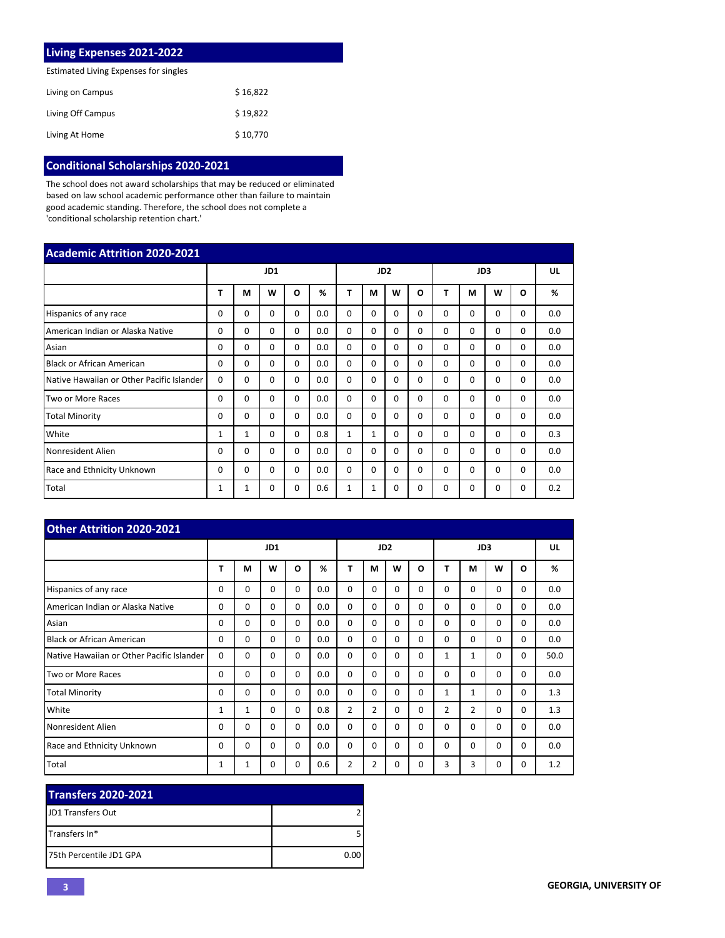| <b>Living Expenses 2021-2022</b>      |          |
|---------------------------------------|----------|
| Estimated Living Expenses for singles |          |
| Living on Campus                      | \$16,822 |
| Living Off Campus                     | \$19.822 |
| Living At Home                        | \$10,770 |

# **Conditional Scholarships 2020-2021**

The school does not award scholarships that may be reduced or eliminated based on law school academic performance other than failure to maintain good academic standing. Therefore, the school does not complete a 'conditional scholarship retention chart.'

| <b>Academic Attrition 2020-2021</b>       |          |              |          |          |     |              |                 |          |                 |          |          |          |          |     |
|-------------------------------------------|----------|--------------|----------|----------|-----|--------------|-----------------|----------|-----------------|----------|----------|----------|----------|-----|
|                                           | JD1      |              |          |          |     |              | JD <sub>2</sub> |          | JD <sub>3</sub> |          |          |          | UL       |     |
|                                           | т        | М            | W        | O        | %   | Т            | М               | W        | O               | т        | M        | W        | O        | %   |
| Hispanics of any race                     | 0        | 0            | 0        | $\Omega$ | 0.0 | $\Omega$     | 0               | $\Omega$ | $\Omega$        | 0        | $\Omega$ | 0        | 0        | 0.0 |
| American Indian or Alaska Native          | 0        | $\Omega$     | $\Omega$ | $\Omega$ | 0.0 | $\Omega$     | $\Omega$        | $\Omega$ | $\Omega$        | $\Omega$ | $\Omega$ | 0        | $\Omega$ | 0.0 |
| Asian                                     | 0        | $\Omega$     | $\Omega$ | $\Omega$ | 0.0 | $\Omega$     | $\Omega$        | $\Omega$ | 0               | $\Omega$ | $\Omega$ | $\Omega$ | $\Omega$ | 0.0 |
| <b>Black or African American</b>          | 0        | $\Omega$     | $\Omega$ | $\Omega$ | 0.0 | $\Omega$     | $\Omega$        | $\Omega$ | 0               | $\Omega$ | $\Omega$ | $\Omega$ | $\Omega$ | 0.0 |
| Native Hawaiian or Other Pacific Islander | $\Omega$ | $\Omega$     | $\Omega$ | $\Omega$ | 0.0 | $\Omega$     | $\Omega$        | $\Omega$ | $\Omega$        | $\Omega$ | $\Omega$ | $\Omega$ | $\Omega$ | 0.0 |
| Two or More Races                         | 0        | $\Omega$     | $\Omega$ | $\Omega$ | 0.0 | $\Omega$     | $\Omega$        | $\Omega$ | $\Omega$        | $\Omega$ | $\Omega$ | 0        | $\Omega$ | 0.0 |
| <b>Total Minority</b>                     | 0        | $\Omega$     | $\Omega$ | $\Omega$ | 0.0 | $\Omega$     | $\Omega$        | $\Omega$ | $\Omega$        | $\Omega$ | $\Omega$ | 0        | $\Omega$ | 0.0 |
| White                                     | 1        | $\mathbf{1}$ | $\Omega$ | $\Omega$ | 0.8 | $\mathbf{1}$ | $\mathbf{1}$    | $\Omega$ | 0               | $\Omega$ | $\Omega$ | 0        | $\Omega$ | 0.3 |
| Nonresident Alien                         | 0        | $\Omega$     | $\Omega$ | $\Omega$ | 0.0 | $\Omega$     | $\Omega$        | $\Omega$ | $\Omega$        | $\Omega$ | $\Omega$ | $\Omega$ | $\Omega$ | 0.0 |
| Race and Ethnicity Unknown                | 0        | $\Omega$     | $\Omega$ | $\Omega$ | 0.0 | $\Omega$     | $\Omega$        | $\Omega$ | $\Omega$        | $\Omega$ | $\Omega$ | $\Omega$ | $\Omega$ | 0.0 |
| Total                                     | 1        | 1            | $\Omega$ | $\Omega$ | 0.6 | $\mathbf{1}$ | $\mathbf{1}$    | $\Omega$ | $\Omega$        | $\Omega$ | $\Omega$ | 0        | $\Omega$ | 0.2 |

| Other Attrition 2020-2021                 |          |              |             |          |     |                |                 |          |          |                |                |          |          |      |
|-------------------------------------------|----------|--------------|-------------|----------|-----|----------------|-----------------|----------|----------|----------------|----------------|----------|----------|------|
|                                           | JD1      |              |             |          |     |                | JD <sub>2</sub> |          | JD3      |                |                |          | UL       |      |
|                                           | т        | M            | W           | $\Omega$ | %   | Т              | М               | W        | O        | т              | М              | W        | O        | %    |
| Hispanics of any race                     | 0        | $\Omega$     | $\Omega$    | $\Omega$ | 0.0 | 0              | $\Omega$        | $\Omega$ | $\Omega$ | 0              | $\Omega$       | 0        | $\Omega$ | 0.0  |
| American Indian or Alaska Native          | $\Omega$ | $\Omega$     | $\mathbf 0$ | $\Omega$ | 0.0 | 0              | $\Omega$        | $\Omega$ | $\Omega$ | $\Omega$       | $\Omega$       | 0        | 0        | 0.0  |
| Asian                                     | $\Omega$ | $\Omega$     | $\Omega$    | $\Omega$ | 0.0 | $\Omega$       | $\Omega$        | $\Omega$ | $\Omega$ | $\Omega$       | $\Omega$       | $\Omega$ | $\Omega$ | 0.0  |
| <b>Black or African American</b>          | $\Omega$ | $\Omega$     | $\Omega$    | $\Omega$ | 0.0 | $\Omega$       | $\Omega$        | $\Omega$ | $\Omega$ | $\Omega$       | $\Omega$       | $\Omega$ | $\Omega$ | 0.0  |
| Native Hawaiian or Other Pacific Islander | $\Omega$ | $\Omega$     | 0           | $\Omega$ | 0.0 | $\Omega$       | $\Omega$        | $\Omega$ | $\Omega$ | 1              | 1              | 0        | $\Omega$ | 50.0 |
| Two or More Races                         | $\Omega$ | $\Omega$     | $\Omega$    | $\Omega$ | 0.0 | $\Omega$       | $\Omega$        | $\Omega$ | $\Omega$ | $\Omega$       | $\Omega$       | $\Omega$ | $\Omega$ | 0.0  |
| <b>Total Minority</b>                     | $\Omega$ | $\Omega$     | $\Omega$    | $\Omega$ | 0.0 | $\Omega$       | $\Omega$        | $\Omega$ | $\Omega$ | $\mathbf{1}$   | $\mathbf{1}$   | 0        | 0        | 1.3  |
| White                                     | 1        | $\mathbf{1}$ | $\Omega$    | $\Omega$ | 0.8 | $\overline{2}$ | $\overline{2}$  | $\Omega$ | $\Omega$ | $\overline{2}$ | $\overline{2}$ | $\Omega$ | $\Omega$ | 1.3  |
| Nonresident Alien                         | 0        | $\Omega$     | $\Omega$    | $\Omega$ | 0.0 | $\Omega$       | $\Omega$        | $\Omega$ | $\Omega$ | $\Omega$       | $\Omega$       | $\Omega$ | 0        | 0.0  |
| Race and Ethnicity Unknown                | 0        | $\Omega$     | $\Omega$    | $\Omega$ | 0.0 | $\Omega$       | $\Omega$        | $\Omega$ | $\Omega$ | $\Omega$       | $\Omega$       | $\Omega$ | $\Omega$ | 0.0  |
| Total                                     | 1        | 1            | 0           | 0        | 0.6 | $\overline{2}$ | 2               | 0        | 0        | 3              | 3              | 0        | 0        | 1.2  |

| <b>Transfers 2020-2021</b> |      |
|----------------------------|------|
| <b>IJD1 Transfers Out</b>  |      |
| ITransfers In*             |      |
| 175th Percentile JD1 GPA   | 0.00 |